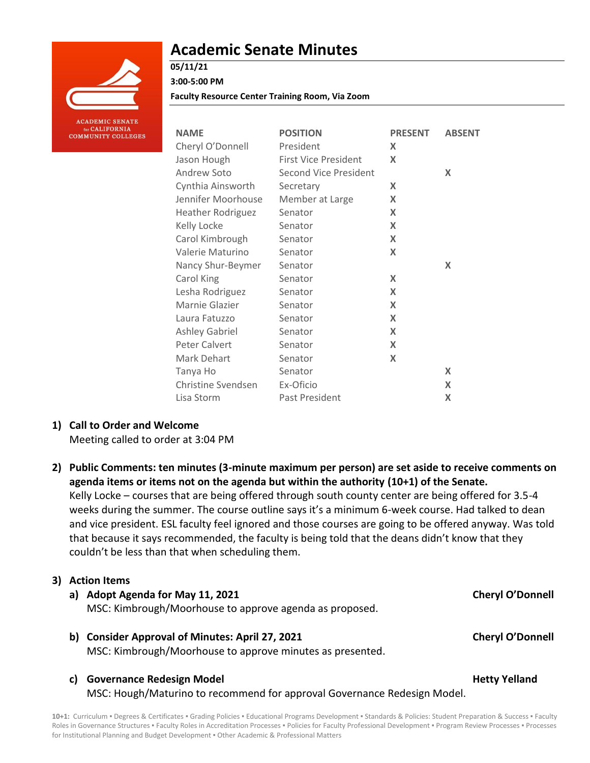

# **Academic Senate Minutes**

# **05/11/21**

**3:00-5:00 PM**

**Faculty Resource Center Training Room, Via Zoom**

| <b>NAME</b>              | <b>POSITION</b>              | <b>PRESENT</b> | <b>ABSENT</b> |
|--------------------------|------------------------------|----------------|---------------|
| Cheryl O'Donnell         | President                    | X              |               |
| Jason Hough              | <b>First Vice President</b>  | X              |               |
| Andrew Soto              | <b>Second Vice President</b> |                | X             |
| Cynthia Ainsworth        | Secretary                    | X              |               |
| Jennifer Moorhouse       | Member at Large              | X              |               |
| <b>Heather Rodriguez</b> | Senator                      | X              |               |
| Kelly Locke              | Senator                      | X              |               |
| Carol Kimbrough          | Senator                      | X              |               |
| Valerie Maturino         | Senator                      | X              |               |
| Nancy Shur-Beymer        | Senator                      |                | X             |
| Carol King               | Senator                      | X              |               |
| Lesha Rodriguez          | Senator                      | X              |               |
| Marnie Glazier           | Senator                      | X              |               |
| Laura Fatuzzo            | Senator                      | X              |               |
| Ashley Gabriel           | Senator                      | X              |               |
| Peter Calvert            | Senator                      | X              |               |
| Mark Dehart              | Senator                      | X              |               |
| Tanya Ho                 | Senator                      |                | X             |
| Christine Svendsen       | Ex-Oficio                    |                | X             |
| Lisa Storm               | Past President               |                | X             |

### **1) Call to Order and Welcome**

Meeting called to order at 3:04 PM

**2) Public Comments: ten minutes (3-minute maximum per person) are set aside to receive comments on agenda items or items not on the agenda but within the authority (10+1) of the Senate.** Kelly Locke – courses that are being offered through south county center are being offered for 3.5-4 weeks during the summer. The course outline says it's a minimum 6-week course. Had talked to dean and vice president. ESL faculty feel ignored and those courses are going to be offered anyway. Was told that because it says recommended, the faculty is being told that the deans didn't know that they couldn't be less than that when scheduling them.

### **3) Action Items**

### **a) Adopt Agenda for May 11, 2021 Cheryl O'Donnell**

MSC: Kimbrough/Moorhouse to approve agenda as proposed.

**b) Consider Approval of Minutes: April 27, 2021 Cheryl O'Donnell** MSC: Kimbrough/Moorhouse to approve minutes as presented.

### **c)** Governance Redesign Model **Accord Proportional Accord Proportion** Metty Yelland

MSC: Hough/Maturino to recommend for approval Governance Redesign Model.

**10+1:** Curriculum ▪ Degrees & Certificates ▪ Grading Policies ▪ Educational Programs Development ▪ Standards & Policies: Student Preparation & Success ▪ Faculty Roles in Governance Structures . Faculty Roles in Accreditation Processes . Policies for Faculty Professional Development . Program Review Processes . Processes for Institutional Planning and Budget Development . Other Academic & Professional Matters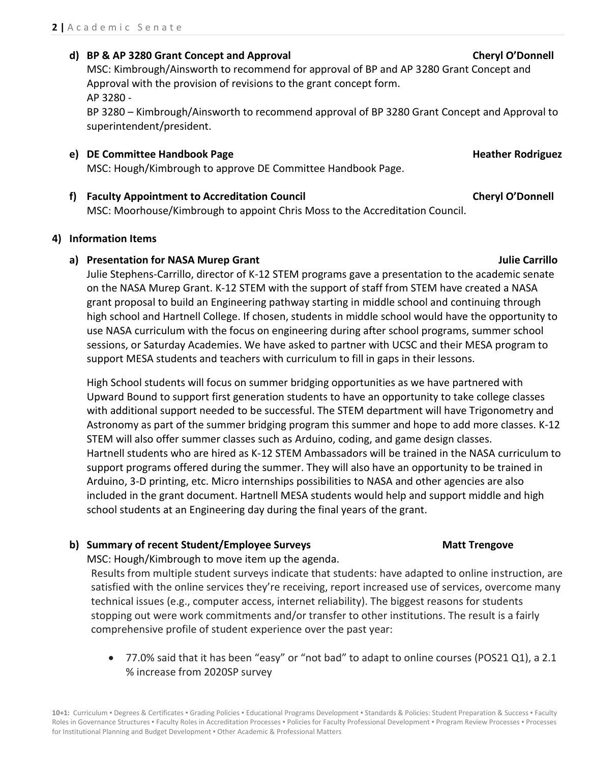#### **d) BP & AP 3280 Grant Concept and Approval Cheryl O'Donnell**

MSC: Kimbrough/Ainsworth to recommend for approval of BP and AP 3280 Grant Concept and Approval with the provision of revisions to the grant concept form. AP 3280 -

BP 3280 – Kimbrough/Ainsworth to recommend approval of BP 3280 Grant Concept and Approval to superintendent/president.

- **e) DE Committee Handbook Page Heather Rodriguez Heather Rodriguez Heather Rodriguez** MSC: Hough/Kimbrough to approve DE Committee Handbook Page.
- **f) Faculty Appointment to Accreditation Council Cheryl O'Donnell** MSC: Moorhouse/Kimbrough to appoint Chris Moss to the Accreditation Council.

#### **4) Information Items**

#### **a) Presentation for NASA Murep Grant Julie Carrillo**

Julie Stephens-Carrillo, director of K-12 STEM programs gave a presentation to the academic senate on the NASA Murep Grant. K-12 STEM with the support of staff from STEM have created a NASA grant proposal to build an Engineering pathway starting in middle school and continuing through high school and Hartnell College. If chosen, students in middle school would have the opportunity to use NASA curriculum with the focus on engineering during after school programs, summer school sessions, or Saturday Academies. We have asked to partner with UCSC and their MESA program to support MESA students and teachers with curriculum to fill in gaps in their lessons.

High School students will focus on summer bridging opportunities as we have partnered with Upward Bound to support first generation students to have an opportunity to take college classes with additional support needed to be successful. The STEM department will have Trigonometry and Astronomy as part of the summer bridging program this summer and hope to add more classes. K-12 STEM will also offer summer classes such as Arduino, coding, and game design classes. Hartnell students who are hired as K-12 STEM Ambassadors will be trained in the NASA curriculum to support programs offered during the summer. They will also have an opportunity to be trained in Arduino, 3-D printing, etc. Micro internships possibilities to NASA and other agencies are also included in the grant document. Hartnell MESA students would help and support middle and high school students at an Engineering day during the final years of the grant.

#### **b) Summary of recent Student/Employee Surveys Matt Trengove**

MSC: Hough/Kimbrough to move item up the agenda.

Results from multiple student surveys indicate that students: have adapted to online instruction, are satisfied with the online services they're receiving, report increased use of services, overcome many technical issues (e.g., computer access, internet reliability). The biggest reasons for students stopping out were work commitments and/or transfer to other institutions. The result is a fairly comprehensive profile of student experience over the past year:

 77.0% said that it has been "easy" or "not bad" to adapt to online courses (POS21 Q1), a 2.1 % increase from 2020SP survey

10+1: Curriculum · Degrees & Certificates · Grading Policies · Educational Programs Development · Standards & Policies: Student Preparation & Success · Faculty Roles in Governance Structures . Faculty Roles in Accreditation Processes . Policies for Faculty Professional Development . Program Review Processes . Processes for Institutional Planning and Budget Development ▪ Other Academic & Professional Matters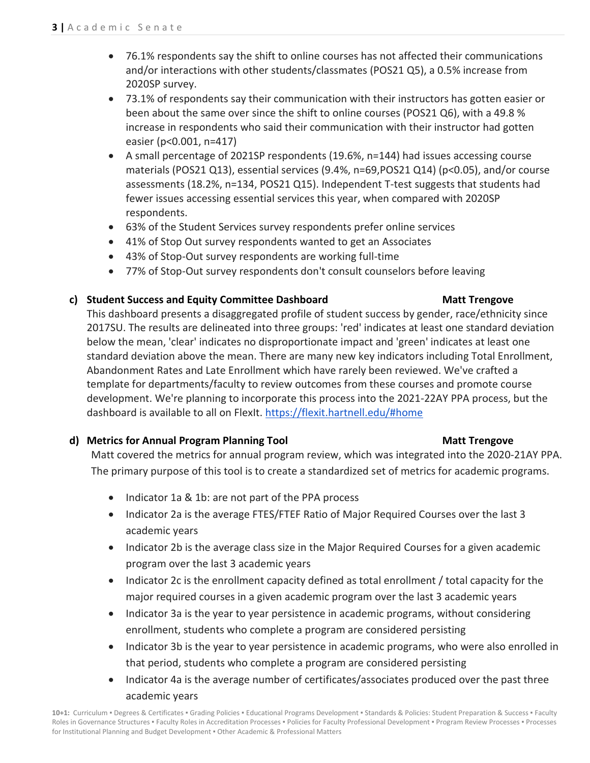- 76.1% respondents say the shift to online courses has not affected their communications and/or interactions with other students/classmates (POS21 Q5), a 0.5% increase from 2020SP survey.
- 73.1% of respondents say their communication with their instructors has gotten easier or been about the same over since the shift to online courses (POS21 Q6), with a 49.8 % increase in respondents who said their communication with their instructor had gotten easier (p<0.001, n=417)
- A small percentage of 2021SP respondents (19.6%, n=144) had issues accessing course materials (POS21 Q13), essential services (9.4%, n=69,POS21 Q14) (p<0.05), and/or course assessments (18.2%, n=134, POS21 Q15). Independent T-test suggests that students had fewer issues accessing essential services this year, when compared with 2020SP respondents.
- 63% of the Student Services survey respondents prefer online services
- 41% of Stop Out survey respondents wanted to get an Associates
- 43% of Stop-Out survey respondents are working full-time
- 77% of Stop-Out survey respondents don't consult counselors before leaving

### **c) Student Success and Equity Committee Dashboard Matt Trengove**

## This dashboard presents a disaggregated profile of student success by gender, race/ethnicity since 2017SU. The results are delineated into three groups: 'red' indicates at least one standard deviation below the mean, 'clear' indicates no disproportionate impact and 'green' indicates at least one standard deviation above the mean. There are many new key indicators including Total Enrollment, Abandonment Rates and Late Enrollment which have rarely been reviewed. We've crafted a template for departments/faculty to review outcomes from these courses and promote course development. We're planning to incorporate this process into the 2021-22AY PPA process, but the dashboard is available to all on FlexIt. <https://flexit.hartnell.edu/#home>

### **d) Metrics for Annual Program Planning Tool Matt Trengove**

Matt covered the metrics for annual program review, which was integrated into the 2020-21AY PPA. The primary purpose of this tool is to create a standardized set of metrics for academic programs.

- Indicator 1a & 1b: are not part of the PPA process
- Indicator 2a is the average FTES/FTEF Ratio of Major Required Courses over the last 3 academic years
- Indicator 2b is the average class size in the Major Required Courses for a given academic program over the last 3 academic years
- Indicator 2c is the enrollment capacity defined as total enrollment / total capacity for the major required courses in a given academic program over the last 3 academic years
- Indicator 3a is the year to year persistence in academic programs, without considering enrollment, students who complete a program are considered persisting
- Indicator 3b is the year to year persistence in academic programs, who were also enrolled in that period, students who complete a program are considered persisting
- Indicator 4a is the average number of certificates/associates produced over the past three academic years